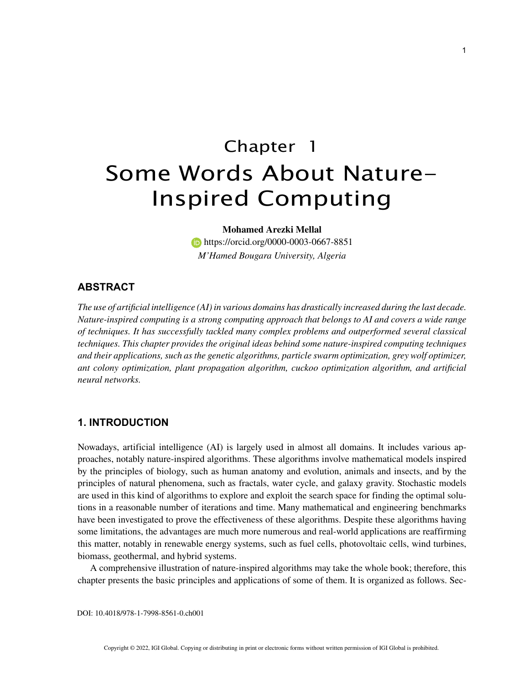# Chapter 1 Some Words About Nature-Inspired Computing

#### **Mohamed Arezki Mellal**

**https://orcid.org/0000-0003-0667-8851** *M'Hamed Bougara University, Algeria*

#### **ABSTRACT**

*The use of artificial intelligence (AI) in various domains has drastically increased during the last decade. Nature-inspired computing is a strong computing approach that belongs to AI and covers a wide range of techniques. It has successfully tackled many complex problems and outperformed several classical techniques. This chapter provides the original ideas behind some nature-inspired computing techniques and their applications, such as the genetic algorithms, particle swarm optimization, grey wolf optimizer, ant colony optimization, plant propagation algorithm, cuckoo optimization algorithm, and artificial neural networks.*

## **1. INTRODUCTION**

Nowadays, artificial intelligence (AI) is largely used in almost all domains. It includes various approaches, notably nature-inspired algorithms. These algorithms involve mathematical models inspired by the principles of biology, such as human anatomy and evolution, animals and insects, and by the principles of natural phenomena, such as fractals, water cycle, and galaxy gravity. Stochastic models are used in this kind of algorithms to explore and exploit the search space for finding the optimal solutions in a reasonable number of iterations and time. Many mathematical and engineering benchmarks have been investigated to prove the effectiveness of these algorithms. Despite these algorithms having some limitations, the advantages are much more numerous and real-world applications are reaffirming this matter, notably in renewable energy systems, such as fuel cells, photovoltaic cells, wind turbines, biomass, geothermal, and hybrid systems.

A comprehensive illustration of nature-inspired algorithms may take the whole book; therefore, this chapter presents the basic principles and applications of some of them. It is organized as follows. Sec-

DOI: 10.4018/978-1-7998-8561-0.ch001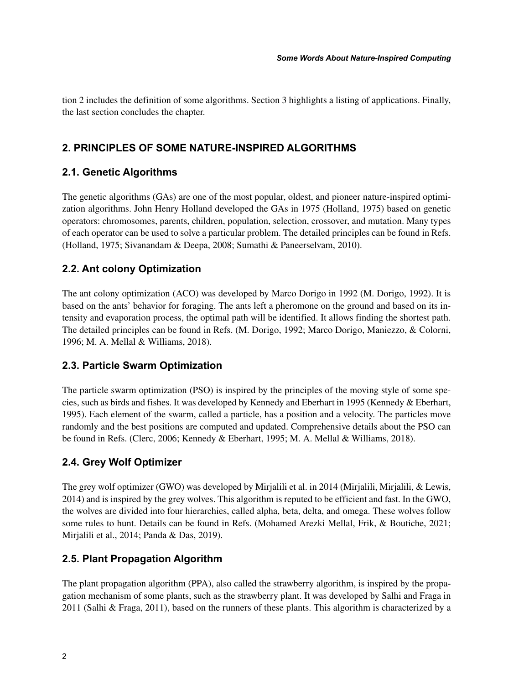tion 2 includes the definition of some algorithms. Section 3 highlights a listing of applications. Finally, the last section concludes the chapter.

# **2. PRINCIPLES OF SOME NATURE-INSPIRED ALGORITHMS**

## **2.1. Genetic Algorithms**

The genetic algorithms (GAs) are one of the most popular, oldest, and pioneer nature-inspired optimization algorithms. John Henry Holland developed the GAs in 1975 (Holland, 1975) based on genetic operators: chromosomes, parents, children, population, selection, crossover, and mutation. Many types of each operator can be used to solve a particular problem. The detailed principles can be found in Refs. (Holland, 1975; Sivanandam & Deepa, 2008; Sumathi & Paneerselvam, 2010).

## **2.2. Ant colony Optimization**

The ant colony optimization (ACO) was developed by Marco Dorigo in 1992 (M. Dorigo, 1992). It is based on the ants' behavior for foraging. The ants left a pheromone on the ground and based on its intensity and evaporation process, the optimal path will be identified. It allows finding the shortest path. The detailed principles can be found in Refs. (M. Dorigo, 1992; Marco Dorigo, Maniezzo, & Colorni, 1996; M. A. Mellal & Williams, 2018).

## **2.3. Particle Swarm Optimization**

The particle swarm optimization (PSO) is inspired by the principles of the moving style of some species, such as birds and fishes. It was developed by Kennedy and Eberhart in 1995 (Kennedy & Eberhart, 1995). Each element of the swarm, called a particle, has a position and a velocity. The particles move randomly and the best positions are computed and updated. Comprehensive details about the PSO can be found in Refs. (Clerc, 2006; Kennedy & Eberhart, 1995; M. A. Mellal & Williams, 2018).

## **2.4. Grey Wolf Optimizer**

The grey wolf optimizer (GWO) was developed by Mirjalili et al. in 2014 (Mirjalili, Mirjalili, & Lewis, 2014) and is inspired by the grey wolves. This algorithm is reputed to be efficient and fast. In the GWO, the wolves are divided into four hierarchies, called alpha, beta, delta, and omega. These wolves follow some rules to hunt. Details can be found in Refs. (Mohamed Arezki Mellal, Frik, & Boutiche, 2021; Mirjalili et al., 2014; Panda & Das, 2019).

## **2.5. Plant Propagation Algorithm**

The plant propagation algorithm (PPA), also called the strawberry algorithm, is inspired by the propagation mechanism of some plants, such as the strawberry plant. It was developed by Salhi and Fraga in 2011 (Salhi & Fraga, 2011), based on the runners of these plants. This algorithm is characterized by a